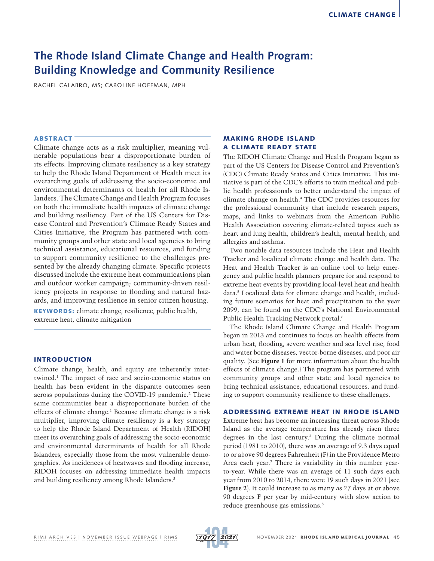# **The Rhode Island Climate Change and Health Program: Building Knowledge and Community Resilience**

RACHEL CALABRO, MS; CAROLINE HOFFMAN, MPH

## **ABSTRACT**

Climate change acts as a risk multiplier, meaning vulnerable populations bear a disproportionate burden of its effects. Improving climate resiliency is a key strategy to help the Rhode Island Department of Health meet its overarching goals of addressing the socio-economic and environmental determinants of health for all Rhode Islanders. The Climate Change and Health Program focuses on both the immediate health impacts of climate change and building resiliency. Part of the US Centers for Disease Control and Prevention's Climate Ready States and Cities Initiative, the Program has partnered with community groups and other state and local agencies to bring technical assistance, educational resources, and funding to support community resilience to the challenges presented by the already changing climate. Specific projects discussed include the extreme heat communications plan and outdoor worker campaign; community-driven resiliency projects in response to flooding and natural hazards, and improving resilience in senior citizen housing.

KEYWORDS: climate change, resilience, public health, extreme heat, climate mitigation

## INTRODUCTION

Climate change, health, and equity are inherently intertwined.1 The impact of race and socio-economic status on health has been evident in the disparate outcomes seen across populations during the COVID-19 pandemic.<sup>2</sup> These same communities bear a disproportionate burden of the effects of climate change.<sup>1</sup> Because climate change is a risk multiplier, improving climate resiliency is a key strategy to help the Rhode Island Department of Health (RIDOH) meet its overarching goals of addressing the socio-economic and environmental determinants of health for all Rhode Islanders, especially those from the most vulnerable demographics. As incidences of heatwaves and flooding increase, RIDOH focuses on addressing immediate health impacts and building resiliency among Rhode Islanders.3

# MAKING RHODE ISLAND A CLIMATE READY STATE

The RIDOH Climate Change and Health Program began as part of the US Centers for Disease Control and Prevention's (CDC) Climate Ready States and Cities Initiative. This initiative is part of the CDC's efforts to train medical and public health professionals to better understand the impact of climate change on health.4 The CDC provides resources for the professional community that include research papers, maps, and links to webinars from the American Public Health Association covering climate-related topics such as heart and lung health, children's health, mental health, and allergies and asthma.

Two notable data resources include the Heat and Health Tracker and localized climate change and health data. The Heat and Health Tracker is an online tool to help emergency and public health planners prepare for and respond to extreme heat events by providing local-level heat and health data.5 Localized data for climate change and health, including future scenarios for heat and precipitation to the year 2099, can be found on the CDC's National Environmental Public Health Tracking Network portal.<sup>6</sup>

The Rhode Island Climate Change and Health Program began in 2013 and continues to focus on health effects from urban heat, flooding, severe weather and sea level rise, food and water borne diseases, vector-borne diseases, and poor air quality. (See **Figure 1** for more information about the health effects of climate change.) The program has partnered with community groups and other state and local agencies to bring technical assistance, educational resources, and funding to support community resilience to these challenges.

### ADDRESSING EXTREME HEAT IN RHODE ISLAND

Extreme heat has become an increasing threat across Rhode Island as the average temperature has already risen three degrees in the last century.3 During the climate normal period (1981 to 2010), there was an average of 9.3 days equal to or above 90 degrees Fahrenheit (F) in the Providence Metro Area each year.7 There is variability in this number yearto-year. While there was an average of 11 such days each year from 2010 to 2014, there were 19 such days in 2021 (see **Figure 2**). It could increase to as many as 27 days at or above 90 degrees F per year by mid-century with slow action to reduce greenhouse gas emissions.8

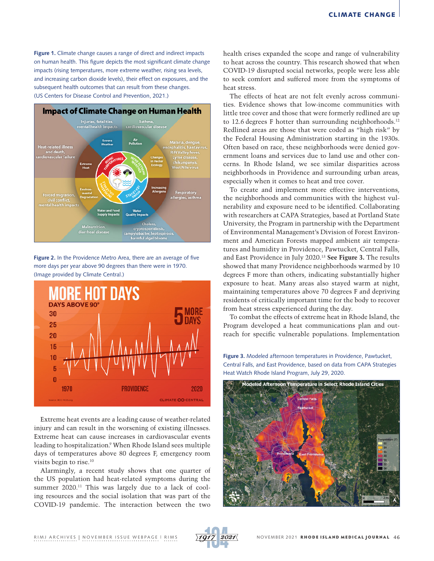**Figure 1.** Climate change causes a range of direct and indirect impacts on human health. This figure depicts the most significant climate change impacts (rising temperatures, more extreme weather, rising sea levels, and increasing carbon dioxide levels), their effect on exposures, and the subsequent health outcomes that can result from these changes. (US Centers for Disease Control and Prevention, 2021.)



**Figure 2.** In the Providence Metro Area, there are an average of five more days per year above 90 degrees than there were in 1970. (Image provided by Climate Central.)



Extreme heat events are a leading cause of weather-related injury and can result in the worsening of existing illnesses. Extreme heat can cause increases in cardiovascular events leading to hospitalization.<sup>9</sup> When Rhode Island sees multiple days of temperatures above 80 degrees F, emergency room visits begin to rise.10

Alarmingly, a recent study shows that one quarter of the US population had heat-related symptoms during the summer 2020.<sup>11</sup> This was largely due to a lack of cooling resources and the social isolation that was part of the COVID-19 pandemic. The interaction between the two

health crises expanded the scope and range of vulnerability to heat across the country. This research showed that when COVID-19 disrupted social networks, people were less able to seek comfort and suffered more from the symptoms of heat stress.

The effects of heat are not felt evenly across communities. Evidence shows that low-income communities with little tree cover and those that were formerly redlined are up to 12.6 degrees F hotter than surrounding neighborhoods.<sup>12</sup> Redlined areas are those that were coded as "high risk" by the Federal Housing Administration starting in the 1930s. Often based on race, these neighborhoods were denied government loans and services due to land use and other concerns. In Rhode Island, we see similar disparities across neighborhoods in Providence and surrounding urban areas, especially when it comes to heat and tree cover.

To create and implement more effective interventions, the neighborhoods and communities with the highest vulnerability and exposure need to be identified. Collaborating with researchers at CAPA Strategies, based at Portland State University, the Program in partnership with the Department of Environmental Management's Division of Forest Environment and American Forests mapped ambient air temperatures and humidity in Providence, Pawtucket, Central Falls, and East Providence in July 2020.13 **See Figure 3.** The results showed that many Providence neighborhoods warmed by 10 degrees F more than others, indicating substantially higher exposure to heat. Many areas also stayed warm at night, maintaining temperatures above 70 degrees F and depriving residents of critically important time for the body to recover from heat stress experienced during the day.

To combat the effects of extreme heat in Rhode Island, the Program developed a heat communications plan and outreach for specific vulnerable populations. Implementation

**Figure 3.** Modeled afternoon temperatures in Providence, Pawtucket, Central Falls, and East Providence, based on data from CAPA Strategies Heat Watch Rhode Island Program, July 29, 2020.



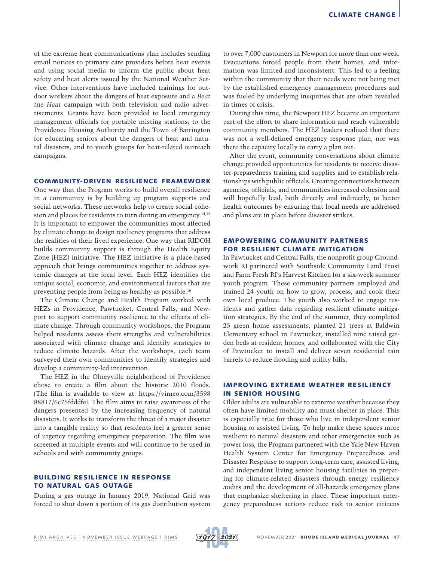of the extreme heat communications plan includes sending email notices to primary care providers before heat events and using social media to inform the public about heat safety and heat alerts issued by the National Weather Service. Other interventions have included trainings for outdoor workers about the dangers of heat exposure and a *Beat the Heat* campaign with both television and radio advertisements. Grants have been provided to local emergency management officials for portable misting stations; to the Providence Housing Authority and the Town of Barrington for educating seniors about the dangers of heat and natural disasters, and to youth groups for heat-related outreach campaigns.

### COMMUNITY-DRIVEN RESILIENCE FRAMEWORK

One way that the Program works to build overall resilience in a community is by building up program supports and social networks. These networks help to create social cohesion and places for residents to turn during an emergency.<sup>14,15</sup> It is important to empower the communities most affected by climate change to design resiliency programs that address the realities of their lived experience. One way that RIDOH builds community support is through the Health Equity Zone (HEZ) initiative. The HEZ initiative is a place-based approach that brings communities together to address systemic changes at the local level. Each HEZ identifies the unique social, economic, and environmental factors that are preventing people from being as healthy as possible.16

The Climate Change and Health Program worked with HEZs in Providence, Pawtucket, Central Falls, and Newport to support community resilience to the effects of climate change. Through community workshops, the Program helped residents assess their strengths and vulnerabilities associated with climate change and identify strategies to reduce climate hazards. After the workshops, each team surveyed their own communities to identify strategies and develop a community-led intervention.

The HEZ in the Olneyville neighborhood of Providence chose to create a film about the historic 2010 floods. (The film is available to view at: https://vimeo.com/3598 88817/6c75fdddfe). The film aims to raise awareness of the dangers presented by the increasing frequency of natural disasters. It works to transform the threat of a major disaster into a tangible reality so that residents feel a greater sense of urgency regarding emergency preparation. The film was screened at multiple events and will continue to be used in schools and with community groups.

## BUILDING RESILIENCE IN RESPONSE TO NATURAL GAS OUTAGE

During a gas outage in January 2019, National Grid was forced to shut down a portion of its gas distribution system to over 7,000 customers in Newport for more than one week. Evacuations forced people from their homes, and information was limited and inconsistent. This led to a feeling within the community that their needs were not being met by the established emergency management procedures and was fueled by underlying inequities that are often revealed in times of crisis.

During this time, the Newport HEZ became an important part of the effort to share information and reach vulnerable community members. The HEZ leaders realized that there was not a well-defined emergency response plan, nor was there the capacity locally to carry a plan out.

After the event, community conversations about climate change provided opportunities for residents to receive disaster-preparedness training and supplies and to establish relationships with public officials. Creating connections between agencies, officials, and communities increased cohesion and will hopefully lead, both directly and indirectly, to better health outcomes by ensuring that local needs are addressed and plans are in place before disaster strikes.

# EMPOWERING COMMUNITY PARTNERS FOR RESILIENT CLIMATE MITIGATION

In Pawtucket and Central Falls, the nonprofit group Groundwork RI partnered with Southside Community Land Trust and Farm Fresh RI's Harvest Kitchen for a six-week summer youth program. These community partners employed and trained 24 youth on how to grow, process, and cook their own local produce. The youth also worked to engage residents and gather data regarding resilient climate mitigation strategies. By the end of the summer, they completed 25 green home assessments, planted 21 trees at Baldwin Elementary school in Pawtucket, installed nine raised garden beds at resident homes, and collaborated with the City of Pawtucket to install and deliver seven residential rain barrels to reduce flooding and utility bills.

# IMPROVING EXTREME WEATHER RESILIENCY IN SENIOR HOUSING

Older adults are vulnerable to extreme weather because they often have limited mobility and must shelter in place. This is especially true for those who live in independent senior housing or assisted living. To help make these spaces more resilient to natural disasters and other emergencies such as power loss, the Program partnered with the Yale New Haven Health System Center for Emergency Preparedness and Disaster Response to support long-term care, assisted living, and independent living senior housing facilities in preparing for climate-related disasters through energy resiliency audits and the development of all-hazards emergency plans that emphasize sheltering in place. These important emergency preparedness actions reduce risk to senior citizens